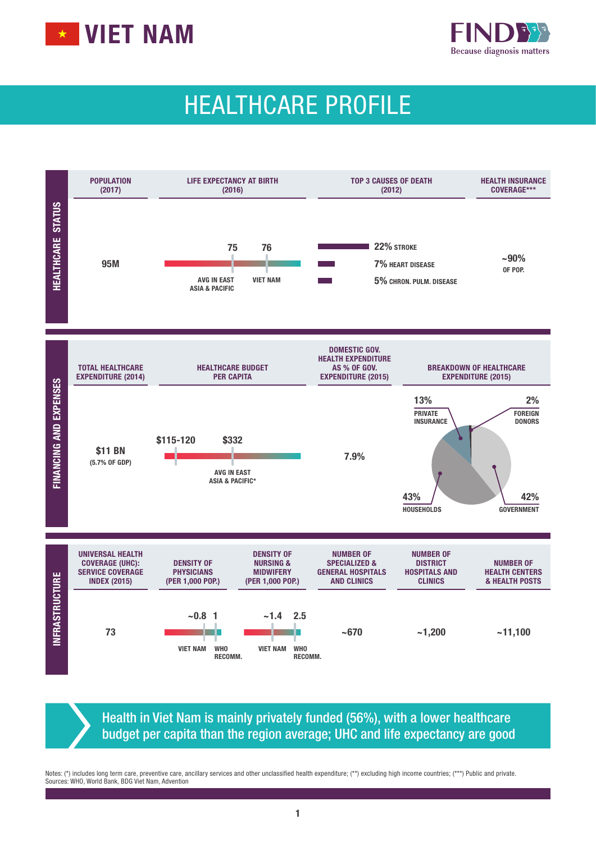



# HEALTHCARE PROFILE



Health in Viet Nam is mainly privately funded (56%), with a lower healthcare budget per capita than the region average; UHC and life expectancy are good

Notes: (\*) includes long term care, preventive care, ancillary services and other unclassified health expenditure; (\*\*) excluding high income countries; (\*\*\*) Public and private. Sources: WHO, World Bank, BDG Viet Nam, Advention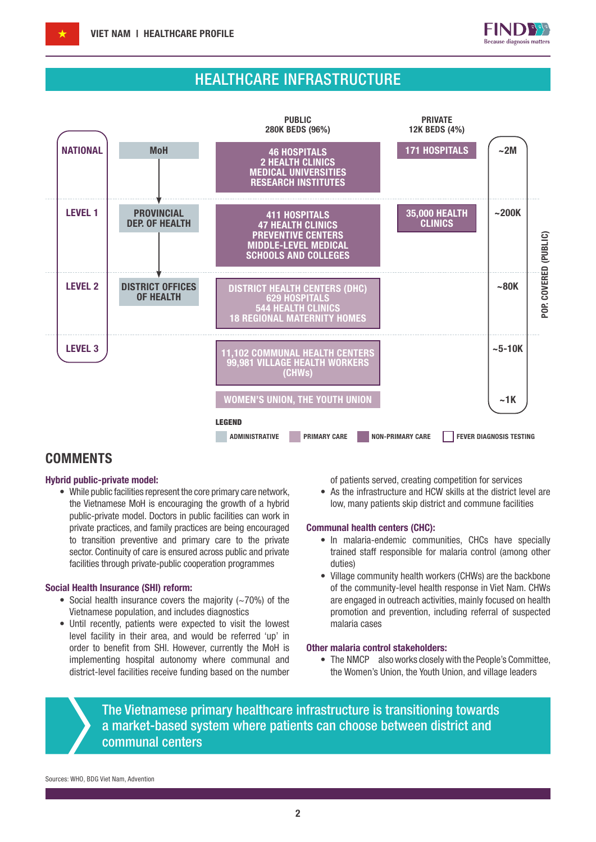

### HEALTHCARE INFRASTRUCTURE



### **COMMENTS**

#### Hybrid public-private model:

• While public facilities represent the core primary care network, the Vietnamese MoH is encouraging the growth of a hybrid public-private model. Doctors in public facilities can work in private practices, and family practices are being encouraged to transition preventive and primary care to the private sector. Continuity of care is ensured across public and private facilities through private-public cooperation programmes

#### Social Health Insurance (SHI) reform:

- Social health insurance covers the majority (~70%) of the Vietnamese population, and includes diagnostics
- Until recently, patients were expected to visit the lowest level facility in their area, and would be referred 'up' in order to benefit from SHI. However, currently the MoH is implementing hospital autonomy where communal and district-level facilities receive funding based on the number

of patients served, creating competition for services

• As the infrastructure and HCW skills at the district level are low, many patients skip district and commune facilities

#### Communal health centers (CHC):

- In malaria-endemic communities, CHCs have specially trained staff responsible for malaria control (among other duties)
- Village community health workers (CHWs) are the backbone of the community-level health response in Viet Nam. CHWs are engaged in outreach activities, mainly focused on health promotion and prevention, including referral of suspected malaria cases

#### Other malaria control stakeholders:

• The NMCP also works closely with the People's Committee, the Women's Union, the Youth Union, and village leaders

The Vietnamese primary healthcare infrastructure is transitioning towards a market-based system where patients can choose between district and communal centers

Sources: WHO, BDG Viet Nam, Advention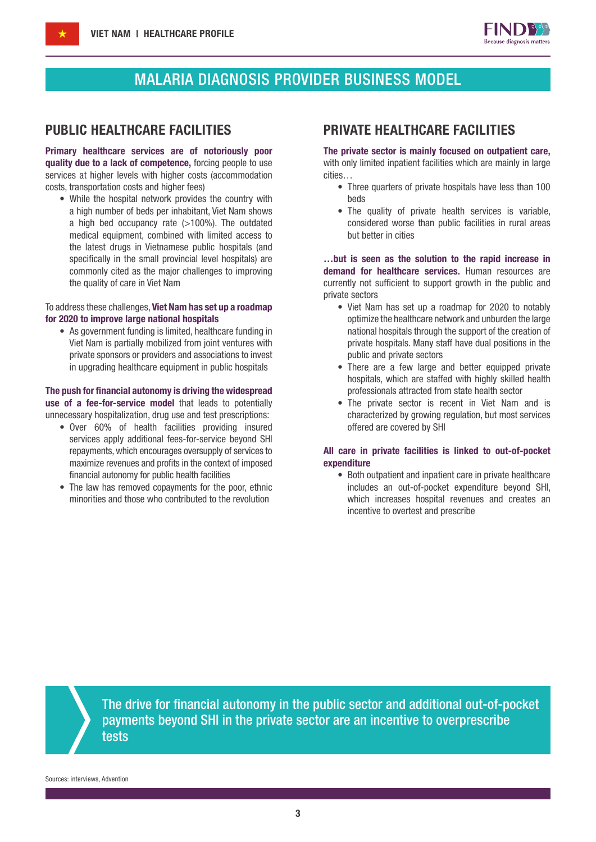

### MALARIA DIAGNOSIS PROVIDER BUSINESS MODEL

Primary healthcare services are of notoriously poor quality due to a lack of competence, forcing people to use services at higher levels with higher costs (accommodation costs, transportation costs and higher fees)

• While the hospital network provides the country with a high number of beds per inhabitant, Viet Nam shows a high bed occupancy rate  $(>100\%)$ . The outdated medical equipment, combined with limited access to the latest drugs in Vietnamese public hospitals (and specifically in the small provincial level hospitals) are commonly cited as the major challenges to improving the quality of care in Viet Nam

#### To address these challenges, Viet Nam has set up a roadmap for 2020 to improve large national hospitals

• As government funding is limited, healthcare funding in Viet Nam is partially mobilized from joint ventures with private sponsors or providers and associations to invest in upgrading healthcare equipment in public hospitals

#### The push for financial autonomy is driving the widespread use of a fee-for-service model that leads to potentially unnecessary hospitalization, drug use and test prescriptions:

- Over 60% of health facilities providing insured services apply additional fees-for-service beyond SHI repayments, which encourages oversupply of services to maximize revenues and profits in the context of imposed financial autonomy for public health facilities
- The law has removed copayments for the poor, ethnic minorities and those who contributed to the revolution

### PUBLIC HEALTHCARE FACILITIES PRIVATE HEALTHCARE FACILITIES

The private sector is mainly focused on outpatient care, with only limited inpatient facilities which are mainly in large cities…

- Three quarters of private hospitals have less than 100 beds
- The quality of private health services is variable, considered worse than public facilities in rural areas but better in cities

…but is seen as the solution to the rapid increase in demand for healthcare services. Human resources are currently not sufficient to support growth in the public and private sectors

- Viet Nam has set up a roadmap for 2020 to notably optimize the healthcare network and unburden the large national hospitals through the support of the creation of private hospitals. Many staff have dual positions in the public and private sectors
- There are a few large and better equipped private hospitals, which are staffed with highly skilled health professionals attracted from state health sector
- The private sector is recent in Viet Nam and is characterized by growing regulation, but most services offered are covered by SHI

#### All care in private facilities is linked to out-of-pocket expenditure

• Both outpatient and inpatient care in private healthcare includes an out-of-pocket expenditure beyond SHI, which increases hospital revenues and creates an incentive to overtest and prescribe

The drive for financial autonomy in the public sector and additional out-of-pocket payments beyond SHI in the private sector are an incentive to overprescribe tests

Sources: interviews, Advention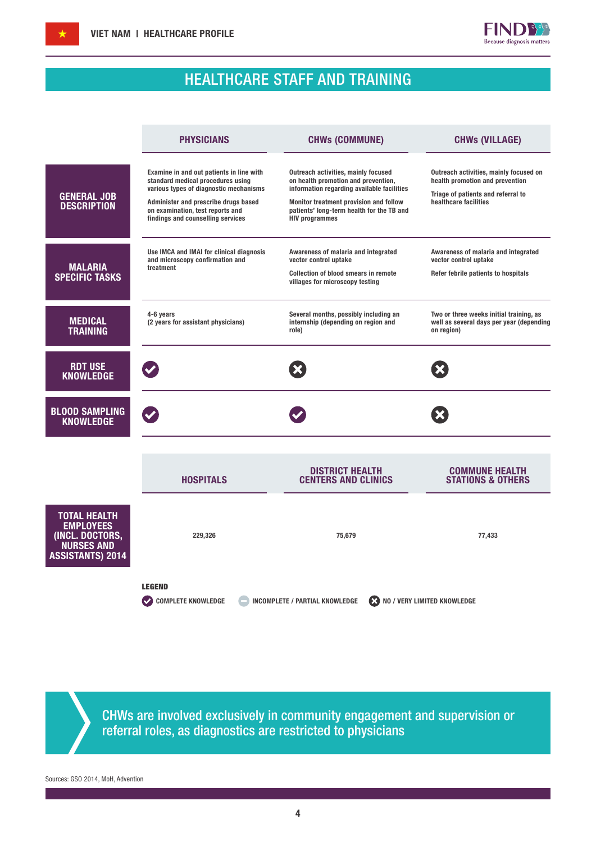

## HEALTHCARE STAFF AND TRAINING

|                                                                                                            | <b>PHYSICIANS</b>                                                                                                                                                                                                                        | <b>CHWs (COMMUNE)</b>                                                                                                                                                                                                                    | <b>CHWs (VILLAGE)</b>                                                                                                                    |
|------------------------------------------------------------------------------------------------------------|------------------------------------------------------------------------------------------------------------------------------------------------------------------------------------------------------------------------------------------|------------------------------------------------------------------------------------------------------------------------------------------------------------------------------------------------------------------------------------------|------------------------------------------------------------------------------------------------------------------------------------------|
| <b>GENERAL JOB</b><br><b>DESCRIPTION</b>                                                                   | Examine in and out patients in line with<br>standard medical procedures using<br>various types of diagnostic mechanisms<br>Administer and prescribe drugs based<br>on examination, test reports and<br>findings and counselling services | Outreach activities, mainly focused<br>on health promotion and prevention,<br>information regarding available facilities<br>Monitor treatment provision and follow<br>patients' long-term health for the TB and<br><b>HIV programmes</b> | Outreach activities, mainly focused on<br>health promotion and prevention<br>Triage of patients and referral to<br>healthcare facilities |
| <b>MALARIA</b><br><b>SPECIFIC TASKS</b>                                                                    | Use IMCA and IMAI for clinical diagnosis<br>and microscopy confirmation and<br>treatment                                                                                                                                                 | Awareness of malaria and integrated<br>vector control uptake<br><b>Collection of blood smears in remote</b><br>villages for microscopy testing                                                                                           | Awareness of malaria and integrated<br>vector control uptake<br>Refer febrile patients to hospitals                                      |
| <b>MEDICAL</b><br><b>TRAINING</b>                                                                          | 4-6 years<br>(2 years for assistant physicians)                                                                                                                                                                                          | Several months, possibly including an<br>internship (depending on region and<br>role)                                                                                                                                                    | Two or three weeks initial training, as<br>well as several days per year (depending<br>on region)                                        |
| <b>RDT USE</b><br><b>KNOWLEDGE</b>                                                                         |                                                                                                                                                                                                                                          |                                                                                                                                                                                                                                          |                                                                                                                                          |
| <b>BLOOD SAMPLING</b><br><b>KNOWLEDGE</b>                                                                  |                                                                                                                                                                                                                                          |                                                                                                                                                                                                                                          |                                                                                                                                          |
|                                                                                                            | <b>HOSPITALS</b>                                                                                                                                                                                                                         | <b>DISTRICT HEALTH</b><br><b>CENTERS AND CLINICS</b>                                                                                                                                                                                     | <b>COMMUNE HEALTH</b><br><b>STATIONS &amp; OTHERS</b>                                                                                    |
| <b>TOTAL HEALTH</b><br><b>EMPLOYEES</b><br>(INCL. DOCTORS,<br><b>NURSES AND</b><br><b>ASSISTANTS) 2014</b> | 229,326                                                                                                                                                                                                                                  | 75,679                                                                                                                                                                                                                                   | 77,433                                                                                                                                   |
|                                                                                                            | <b>LEGEND</b><br><b>COMPLETE KNOWLEDGE</b>                                                                                                                                                                                               | <b>INCOMPLETE / PARTIAL KNOWLEDGE</b>                                                                                                                                                                                                    | NO / VERY LIMITED KNOWLEDGE                                                                                                              |

CHWs are involved exclusively in community engagement and supervision or referral roles, as diagnostics are restricted to physicians

Sources: GSO 2014, MoH, Advention